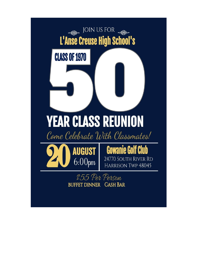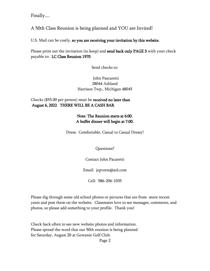Finally....

# A 50th Class Reunion is being planned and YOU are Invited!

U.S. Mail can be costly, so you are receiving your invitation by this website.

Please print out the invitation (to keep) and **send back only PAGE 3** with your check payable to: LC Class Reunion 1970

Send checks to:

#### John Pascaretti 28044 Ashland Harrison Twp., Michigan 48045

Checks (\$55.00 per person) must be received no later than August 6, 2022. THERE WILL BE A CASH BAR.

#### Note: The Reunion starts at 6:00. A buffet dinner will begin at 7:00.

Dress: Comfortable, Casual to Casual Dressy!

Questions?

Contact John Pacaretti

Email: jepvette@aol.com

Cell: 586-206-1035

Please dig through some old school photos or pictures that are from more recent years and post them on the website. Classmates love to see messages, comments, and photos, so please add something to your profile. Thank you!

Check back often to see new website photos and information. Please spread the word that our 50th reunion is being planned for Saturday, August 20 at Gowanie Golf Club.

Page 2